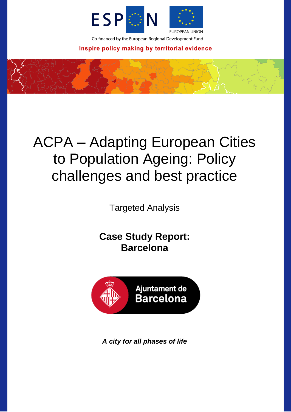

Co-financed by the European Regional Development Fund

Inspire policy making by territorial evidence

# ACPA – Adapting European Cities to Population Ageing: Policy challenges and best practice

Targeted Analysis

**Case Study Report: Barcelona**



*A city for all phases of life*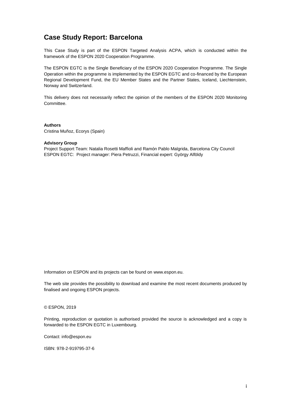# **Case Study Report: Barcelona**

This Case Study is part of the ESPON Targeted Analysis ACPA, which is conducted within the framework of the ESPON 2020 Cooperation Programme.

The ESPON EGTC is the Single Beneficiary of the ESPON 2020 Cooperation Programme. The Single Operation within the programme is implemented by the ESPON EGTC and co-financed by the European Regional Development Fund, the EU Member States and the Partner States, Iceland, Liechtenstein, Norway and Switzerland.

This delivery does not necessarily reflect the opinion of the members of the ESPON 2020 Monitoring Committee.

**Authors** Cristina Muñoz, Ecorys (Spain)

#### **Advisory Group**

Project Support Team: Natalia Rosetti Maffioli and Ramón Pablo Malgrida, Barcelona City Council ESPON EGTC: Project manager: Piera Petruzzi, Financial expert: György Alföldy

Information on ESPON and its projects can be found on [www.espon.eu.](https://www.espon.eu/)

The web site provides the possibility to download and examine the most recent documents produced by finalised and ongoing ESPON projects.

#### © ESPON, 2019

Printing, reproduction or quotation is authorised provided the source is acknowledged and a copy is forwarded to the ESPON EGTC in Luxembourg.

Contact: [info@espon.eu](mailto:info@espon.eu)

ISBN: 978-2-919795-37-6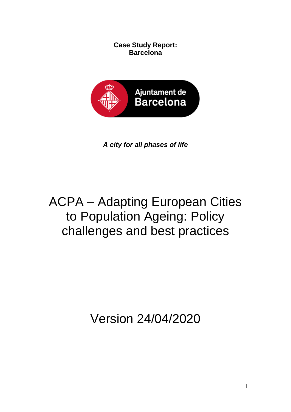**Case Study Report: Barcelona**



*A city for all phases of life*

# ACPA – Adapting European Cities to Population Ageing: Policy challenges and best practices

Version 24/04/2020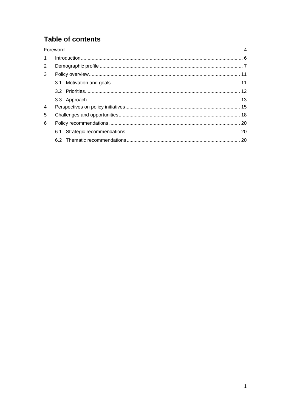# **Table of contents**

| $\mathbf{1}$ |  |
|--------------|--|
| 2            |  |
| 3            |  |
|              |  |
|              |  |
|              |  |
| 4            |  |
| 5            |  |
| 6            |  |
|              |  |
|              |  |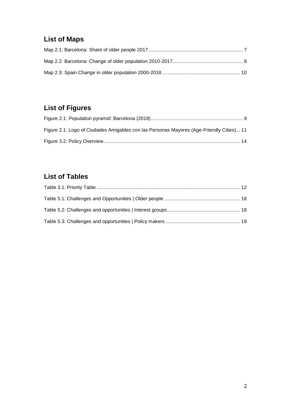# **List of Maps**

# **List of Figures**

| Figure 2.1: Logo of Ciudades Amigables con las Personas Mayores (Age-Friendly Cities) 11 |  |
|------------------------------------------------------------------------------------------|--|
|                                                                                          |  |

# **List of Tables**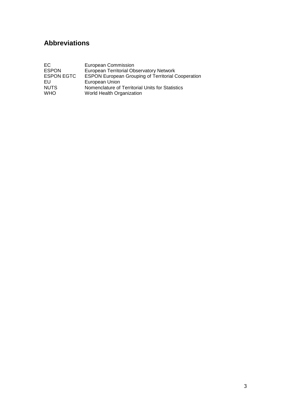# **Abbreviations**

| EC.               | European Commission                                       |
|-------------------|-----------------------------------------------------------|
| <b>ESPON</b>      | <b>European Territorial Observatory Network</b>           |
| <b>ESPON EGTC</b> | <b>ESPON European Grouping of Territorial Cooperation</b> |
| EU                | European Union                                            |
| <b>NUTS</b>       | Nomenclature of Territorial Units for Statistics          |
| <b>WHO</b>        | World Health Organization                                 |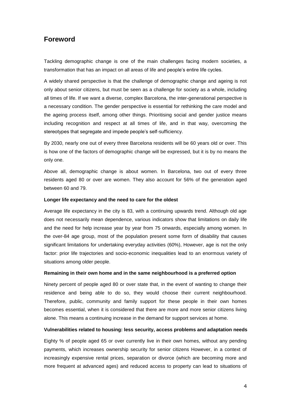## <span id="page-6-0"></span>**Foreword**

Tackling demographic change is one of the main challenges facing modern societies, a transformation that has an impact on all areas of life and people's entire life cycles.

A widely shared perspective is that the challenge of demographic change and ageing is not only about senior citizens, but must be seen as a challenge for society as a whole, including all times of life. If we want a diverse, complex Barcelona, the inter-generational perspective is a necessary condition. The gender perspective is essential for rethinking the care model and the ageing process itself, among other things. Prioritising social and gender justice means including recognition and respect at all times of life, and in that way, overcoming the stereotypes that segregate and impede people's self-sufficiency.

By 2030, nearly one out of every three Barcelona residents will be 60 years old or over. This is how one of the factors of demographic change will be expressed, but it is by no means the only one.

Above all, demographic change is about women. In Barcelona, two out of every three residents aged 80 or over are women. They also account for 56% of the generation aged between 60 and 79.

#### **Longer life expectancy and the need to care for the oldest**

Average life expectancy in the city is 83, with a continuing upwards trend. Although old age does not necessarily mean dependence, various indicators show that limitations on daily life and the need for help increase year by year from 75 onwards, especially among women. In the over-84 age group, most of the population present some form of disability that causes significant limitations for undertaking everyday activities (60%), However, age is not the only factor: prior life trajectories and socio-economic inequalities lead to an enormous variety of situations among older people.

#### **Remaining in their own home and in the same neighbourhood is a preferred option**

Ninety percent of people aged 80 or over state that, in the event of wanting to change their residence and being able to do so, they would choose their current neighbourhood. Therefore, public, community and family support for these people in their own homes becomes essential, when it is considered that there are more and more senior citizens living alone. This means a continuing increase in the demand for support services at home.

#### **Vulnerabilities related to housing: less security, access problems and adaptation needs**

Eighty % of people aged 65 or over currently live in their own homes, without any pending payments, which increases ownership security for senior citizens However, in a context of increasingly expensive rental prices, separation or divorce (which are becoming more and more frequent at advanced ages) and reduced access to property can lead to situations of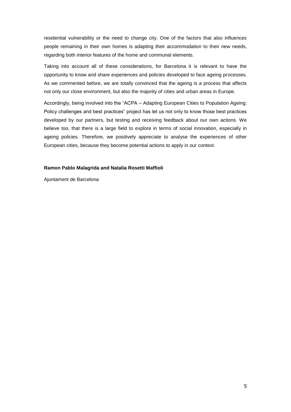residential vulnerability or the need to change city. One of the factors that also influences people remaining in their own homes is adapting their accommodation to their new needs, regarding both interior features of the home and communal elements.

Taking into account all of these considerations, for Barcelona it is relevant to have the opportunity to know and share experiences and policies developed to face ageing processes. As we commented before, we are totally convinced that the ageing is a process that affects not only our close environment, but also the majority of cities and urban areas in Europe.

Accordingly, being involved into the "ACPA – Adapting European Cities to Population Ageing: Policy challenges and best practices" project has let us not only to know those best practices developed by our partners, but testing and receiving feedback about our own actions. We believe too, that there is a large field to explore in terms of social innovation, especially in ageing policies. Therefore, we positively appreciate to analyse the experiences of other European cities, because they become potential actions to apply in our context.

#### **Ramon Pablo Malagrida and Natalia Rosetti Maffioli**

Ajuntament de Barcelona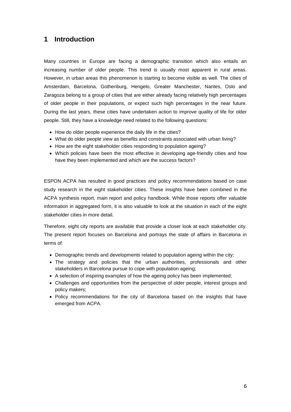# <span id="page-8-0"></span>**1 Introduction**

Many countries in Europe are facing a demographic transition which also entails an increasing number of older people. This trend is usually most apparent in rural areas. However, in urban areas this phenomenon is starting to become visible as well. The cities of Amsterdam, Barcelona, Gothenburg, Hengelo, Greater Manchester, Nantes, Oslo and Zaragoza belong to a group of cities that are either already facing relatively high percentages of older people in their populations, or expect such high percentages in the near future. During the last years, these cities have undertaken action to improve quality of life for older people. Still, they have a knowledge need related to the following questions:

- How do older people experience the daily life in the cities?
- What do older people view as benefits and constraints associated with urban living?
- How are the eight stakeholder cities responding to population ageing?
- Which policies have been the most effective in developing age-friendly cities and how have they been implemented and which are the success factors?

ESPON ACPA has resulted in good practices and policy recommendations based on case study research in the eight stakeholder cities. These insights have been combined in the ACPA synthesis report, main report and policy handbook. While those reports offer valuable information in aggregated form, it is also valuable to look at the situation in each of the eight stakeholder cities in more detail.

Therefore, eight city reports are available that provide a closer look at each stakeholder city. The present report focuses on Barcelona and portrays the state of affairs in Barcelona in terms of:

- Demographic trends and developments related to population ageing within the city;
- The strategy and policies that the urban authorities, professionals and other stakeholders in Barcelona pursue to cope with population ageing;
- A selection of inspiring examples of how the ageing policy has been implemented;
- Challenges and opportunities from the perspective of older people, interest groups and policy makers;
- Policy recommendations for the city of Barcelona based on the insights that have emerged from ACPA.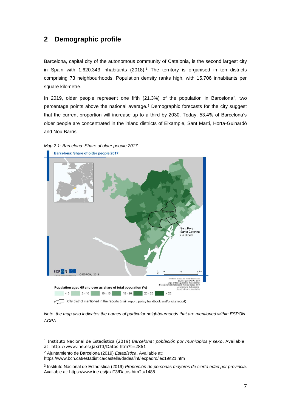# <span id="page-9-0"></span>**2 Demographic profile**

Barcelona, capital city of the autonomous community of Catalonia, is the second largest city in Spain with  $1.620.343$  inhabitants (2018).<sup>1</sup> The territory is organised in ten districts comprising 73 neighbourhoods. Population density ranks high, with 15.706 inhabitants per square kilometre.

In 2019, older people represent one fifth  $(21.3%)$  of the population in Barcelona<sup>2</sup>, two percentage points above the national average.<sup>3</sup> Demographic forecasts for the city suggest that the current proportion will increase up to a third by 2030. Today, 53.4% of Barcelona's older people are concentrated in the inland districts of Eixample, Sant Martí, Horta-Guinardó and Nou Barris.

<span id="page-9-1"></span>

*Note: the map also indicates the names of particular neighbourhoods that are mentioned within ESPON ACPA.*

<sup>2</sup> Ajuntamiento de Barcelona (2019) *Estadística*. Available at:

<sup>1</sup> Instituto Nacional de Estadística (2019) *Barcelona: población por municipios y sexo*. Available at:<http://www.ine.es/jaxiT3/Datos.htm?t=2861>

<https://www.bcn.cat/estadistica/castella/dades/inf/lecpadro/lec19/t21.htm>

<sup>3</sup> Instituto Nacional de Estadística (2019) *Proporción de personas mayores de cierta edad por provincia*. Available at[: https://www.ine.es/jaxiT3/Datos.htm?t=1488](https://www.ine.es/jaxiT3/Datos.htm?t=1488)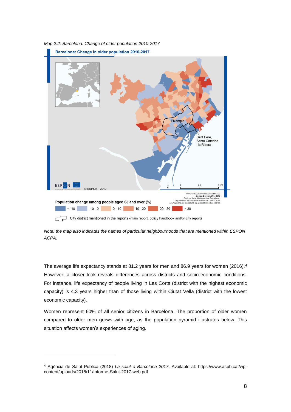

<span id="page-10-0"></span>*Map 2.2: Barcelona: Change of older population 2010-2017*

City district mentioned in the reports (main report, policy handbook and/or city report)

*Note: the map also indicates the names of particular neighbourhoods that are mentioned within ESPON ACPA.*

The average life expectancy stands at 81.2 years for men and 86.9 years for women (2016).<sup>4</sup> However, a closer look reveals differences across districts and socio-economic conditions. For instance, life expectancy of people living in Les Corts (district with the highest economic capacity) is 4.3 years higher than of those living within Ciutat Vella (district with the lowest economic capacity).

Women represent 60% of all senior citizens in Barcelona. The proportion of older women compared to older men grows with age, as the population pyramid illustrates below. This situation affects women's experiences of aging.

<sup>4</sup> Agència de Salut Pública (2018) *La salut a Barcelona 2017*. Available at: [https://www.aspb.cat/wp](https://www.aspb.cat/wp-content/uploads/2018/11/Informe-Salut-2017-web.pdf)[content/uploads/2018/11/Informe-Salut-2017-web.pdf](https://www.aspb.cat/wp-content/uploads/2018/11/Informe-Salut-2017-web.pdf)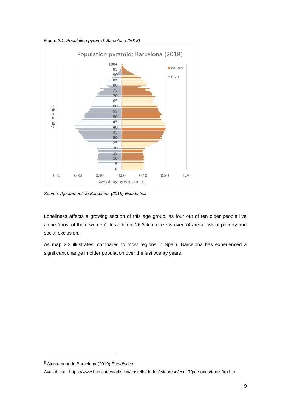<span id="page-11-0"></span>*Figure 2.1: Population pyramid: Barcelona (2018)*



*Source: Ajuntament de Barcelona (2019) Estadística*

Loneliness affects a growing section of this age group, as four out of ten older people live alone (most of them women). In addition, 26.3% of citizens over 74 are at risk of poverty and social exclusion.<sup>5</sup>

As map 2.3 illustrates, compared to most regions in Spain, Barcelona has experienced a significant change in older population over the last twenty years.

<sup>5</sup> Ajuntament de Barcelona (2019) *Estadística*

Available at[: https://www.bcn.cat/estadistica/castella/dades/tvida/esd/esd17/persones/taxes/trp.htm](https://www.bcn.cat/estadistica/castella/dades/tvida/esd/esd17/persones/taxes/trp.htm)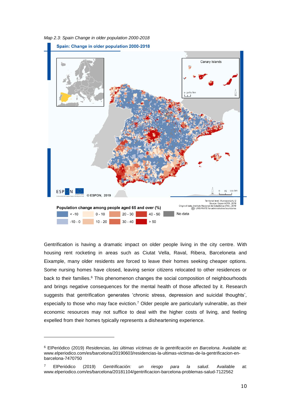<span id="page-12-0"></span>*Map 2.3: Spain Change in older population 2000-2018*



Gentrification is having a dramatic impact on older people living in the city centre. With housing rent rocketing in areas such as Ciutat Vella, Raval, Ribera, Barceloneta and Eixample, many older residents are forced to leave their homes seeking cheaper options. Some nursing homes have closed, leaving senior citizens relocated to other residences or back to their families.<sup>6</sup> This phenomenon changes the social composition of neighbourhoods and brings negative consequences for the mental health of those affected by it. Research suggests that gentrification generates 'chronic stress, depression and suicidal thoughts', especially to those who may face eviction.<sup>7</sup> Older people are particularly vulnerable, as their economic resources may not suffice to deal with the higher costs of living, and feeling expelled from their homes typically represents a disheartening experience.

<sup>6</sup> ElPeriódico (2019) *Residencias, las últimas víctimas de la gentrificación en Barcelona*. Available at: [www.elperiodico.com/es/barcelona/20190603/residencias-la-ultimas-victimas-de-la-gentrificacion-en](http://www.elperiodico.com/es/barcelona/20190603/residencias-la-ultimas-victimas-de-la-gentrificacion-en-barcelona-7470750)[barcelona-7470750](http://www.elperiodico.com/es/barcelona/20190603/residencias-la-ultimas-victimas-de-la-gentrificacion-en-barcelona-7470750)

<sup>7</sup> ElPeriódico (2019) *Gentrificación: un riesgo para la salud*. Available at: [www.elperiodico.com/es/barcelona/20181104/gentrificacion-barcelona-problemas-salud-7122562](http://www.elperiodico.com/es/barcelona/20181104/gentrificacion-barcelona-problemas-salud-7122562)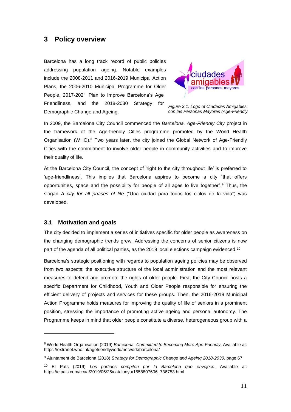## <span id="page-13-0"></span>**3 Policy overview**

Barcelona has a long track record of public policies addressing population ageing. Notable examples include the 2008-2011 and 2016-2019 Municipal Action Plans, the 2006-2010 Municipal Programme for Older People, 2017-2021 Plan to Improve Barcelona's Age Friendliness, and the 2018-2030 Strategy for Demographic Change and Ageing.



*Figure 3.1: Logo of Ciudades Amigables con las Personas Mayores (Age-Friendly* 

In 2009, the Barcelona City Council commenced the *Barcelona, Age-Friendly City* project in the framework of the Age-friendly Cities programme promoted by the World Health Organisation (WHO).<sup>8</sup> Two years later, the city joined the Global Network of Age-Friendly Cities with the commitment to involve older people in community activities and to improve their quality of life.

At the Barcelona City Council, the concept of 'right to the city throughout life' is preferred to 'age-friendliness'. This implies that Barcelona aspires to become a city "that offers opportunities, space and the possibility for people of all ages to live together".<sup>9</sup> Thus, the slogan *A city for all phases of life* ("Una ciudad para todos los ciclos de la vida") was developed.

#### <span id="page-13-1"></span>**3.1 Motivation and goals**

-

The city decided to implement a series of initiatives specific for older people as awareness on the changing demographic trends grew. Addressing the concerns of senior citizens is now part of the agenda of all political parties, as the 2019 local elections campaign evidenced.<sup>10</sup>

Barcelona's strategic positioning with regards to population ageing policies may be observed from two aspects: the executive structure of the local administration and the most relevant measures to defend and promote the rights of older people. First, the City Council hosts a specific Department for Childhood, Youth and Older People responsible for ensuring the efficient delivery of projects and services for these groups. Then, the 2016-2019 Municipal Action Programme holds measures for improving the quality of life of seniors in a prominent position, stressing the importance of promoting active ageing and personal autonomy. The Programme keeps in mind that older people constitute a diverse, heterogeneous group with a

<sup>8</sup> World Health Organisation (2019) *Barcelona -Committed to Becoming More Age-Friendly*. Available at: <https://extranet.who.int/agefriendlyworld/network/barcelona/>

<sup>9</sup> Ajuntament de Barcelona (2018) *Strategy for Demographic Change and Ageing 2018-2030*, page 67

<sup>10</sup> El País (2019) *Los partidos compiten por la Barcelona que envejece*. Available at: [https://elpais.com/ccaa/2019/05/25/catalunya/1558807606\\_736753.html](https://elpais.com/ccaa/2019/05/25/catalunya/1558807606_736753.html)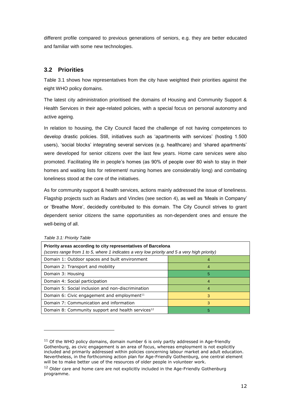different profile compared to previous generations of seniors, e.g. they are better educated and familiar with some new technologies.

## <span id="page-14-0"></span>**3.2 Priorities**

Table 3.1 shows how representatives from the city have weighted their priorities against the eight WHO policy domains.

The latest city administration prioritised the domains of Housing and Community Support & Health Services in their age-related policies, with a special focus on personal autonomy and active ageing.

In relation to housing, the City Council faced the challenge of not having competences to develop drastic policies. Still, initiatives such as 'apartments with services' (hosting 1.500 users), 'social blocks' integrating several services (e.g. healthcare) and 'shared apartments' were developed for senior citizens over the last few years. Home care services were also promoted. Facilitating life in people's homes (as 90% of people over 80 wish to stay in their homes and waiting lists for retirement/ nursing homes are considerably long) and combating loneliness stood at the core of the initiatives.

As for community support & health services, actions mainly addressed the issue of loneliness. Flagship projects such as Radars and Vincles (see section 4), as well as 'Meals in Company' or 'Breathe More', decidedly contributed to this domain. The City Council strives to grant dependent senior citizens the same opportunities as non-dependent ones and ensure the well-being of all.

| iavic J.I. Filolity Tavic                                                                    |   |  |
|----------------------------------------------------------------------------------------------|---|--|
| Priority areas according to city representatives of Barcelona                                |   |  |
| (scores range from 1 to 5, where 1 indicates a very low priority and 5 a very high priority) |   |  |
| Domain 1: Outdoor spaces and built environment                                               |   |  |
| Domain 2: Transport and mobility                                                             |   |  |
| Domain 3: Housing                                                                            | 5 |  |
| Domain 4: Social participation                                                               |   |  |
| Domain 5: Social inclusion and non-discrimination                                            | 4 |  |
| Domain 6: Civic engagement and employment <sup>11</sup>                                      | 3 |  |
| Domain 7: Communication and information                                                      | 3 |  |
| Domain 8: Community support and health services <sup>12</sup>                                | 5 |  |

<span id="page-14-1"></span>*Table 3.1: Priority Table*

 $11$  Of the WHO policy domains, domain number 6 is only partly addressed in Age-friendly Gothenburg, as civic engagement is an area of focus, whereas employment is not explicitly included and primarily addressed within policies concerning labour market and adult education. Nevertheless, in the forthcoming action plan for Age-Friendly Gothenburg, one central element will be to make better use of the resources of older people in volunteer work.

<sup>&</sup>lt;sup>12</sup> Older care and home care are not explicitly included in the Age-Friendly Gothenburg programme.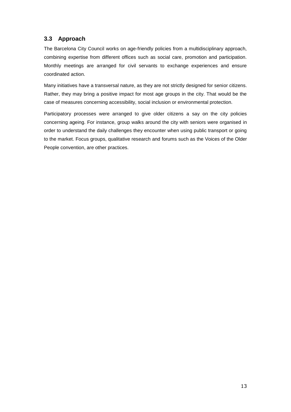# <span id="page-15-0"></span>**3.3 Approach**

The Barcelona City Council works on age-friendly policies from a multidisciplinary approach, combining expertise from different offices such as social care, promotion and participation. Monthly meetings are arranged for civil servants to exchange experiences and ensure coordinated action.

Many initiatives have a transversal nature, as they are not strictly designed for senior citizens. Rather, they may bring a positive impact for most age groups in the city. That would be the case of measures concerning accessibility, social inclusion or environmental protection.

Participatory processes were arranged to give older citizens a say on the city policies concerning ageing. For instance, group walks around the city with seniors were organised in order to understand the daily challenges they encounter when using public transport or going to the market. Focus groups, qualitative research and forums such as the Voices of the Older People convention, are other practices.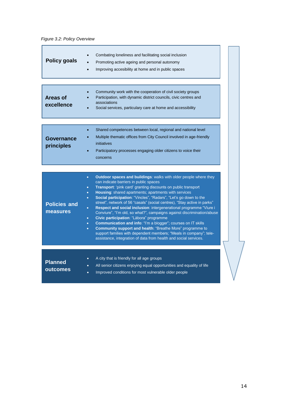### *Figure 3.2: Policy Overview*

| <b>Policy goals</b>             | Combating loneliness and facilitating social inclusion<br>Promoting active ageing and personal autonomy<br>Improving accesibility at home and in public spaces                                                                                                                                                                                                                                                                                                                                                                                                                                                                                                                                                                                                                                                                                                                                                                                               |
|---------------------------------|--------------------------------------------------------------------------------------------------------------------------------------------------------------------------------------------------------------------------------------------------------------------------------------------------------------------------------------------------------------------------------------------------------------------------------------------------------------------------------------------------------------------------------------------------------------------------------------------------------------------------------------------------------------------------------------------------------------------------------------------------------------------------------------------------------------------------------------------------------------------------------------------------------------------------------------------------------------|
| <b>Areas of</b><br>excellence   | Community work with the cooperation of civil society groups<br>Participation, with dynamic district councils, civic centres and<br>associations<br>Social services, particulary care at home and accessibility                                                                                                                                                                                                                                                                                                                                                                                                                                                                                                                                                                                                                                                                                                                                               |
|                                 |                                                                                                                                                                                                                                                                                                                                                                                                                                                                                                                                                                                                                                                                                                                                                                                                                                                                                                                                                              |
| Governance<br>principles        | Shared competences between local, regional and national level<br>$\bullet$<br>Multiple thematic offices from City Council involved in age-friendly<br>initiatives<br>Participatory processes engaging older citizens to voice their<br>concerns                                                                                                                                                                                                                                                                                                                                                                                                                                                                                                                                                                                                                                                                                                              |
|                                 |                                                                                                                                                                                                                                                                                                                                                                                                                                                                                                                                                                                                                                                                                                                                                                                                                                                                                                                                                              |
| <b>Policies and</b><br>measures | <b>Outdoor spaces and buildings: walks with older people where they</b><br>$\bullet$<br>can indicate barriers in public spaces<br>Transport: 'pink card' granting discounts on public transport<br>$\bullet$<br>Housing: shared apartments; apartments with services<br>$\bullet$<br>Social participation: "Vincles", "Radars", "Let's go down to the<br>۰<br>street", network of 56 "casals" (social centres), "Stay active in parks"<br>Respect and social inclusion: intergenerational programme "Viure i<br>$\bullet$<br>Conviure", "I'm old, so what?", campaigns against discrimination/abuse<br>Civic participation: "Làbora" programme<br>$\bullet$<br><b>Communication and info: "I'm a blogger"; courses on IT skills</b><br>$\bullet$<br>Community support and health: "Breathe More" programme to<br>۰<br>support families with dependent members; "Meals in company"; tele-<br>assistance, integration of data from health and social services. |

| <b>Planned</b><br>outcomes | ٠<br>$\bullet$<br>$\bullet$ | A city that is friendly for all age groups<br>All senior citizens enjoying equal opportunities and equality of life<br>Improved conditions for most vulnerable older people |
|----------------------------|-----------------------------|-----------------------------------------------------------------------------------------------------------------------------------------------------------------------------|
|                            |                             |                                                                                                                                                                             |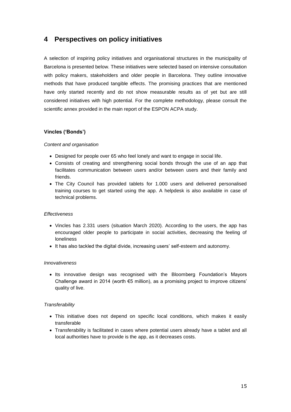# <span id="page-17-0"></span>**4 Perspectives on policy initiatives**

A selection of inspiring policy initiatives and organisational structures in the municipality of Barcelona is presented below. These initiatives were selected based on intensive consultation with policy makers, stakeholders and older people in Barcelona. They outline innovative methods that have produced tangible effects. The promising practices that are mentioned have only started recently and do not show measurable results as of yet but are still considered initiatives with high potential. For the complete methodology, please consult the scientific annex provided in the main report of the ESPON ACPA study.

#### **Vincles ('Bonds')**

#### *Content and organisation*

- Designed for people over 65 who feel lonely and want to engage in social life.
- Consists of creating and strengthening social bonds through the use of an app that facilitates communication between users and/or between users and their family and friends.
- The City Council has provided tablets for 1.000 users and delivered personalised training courses to get started using the app. A helpdesk is also available in case of technical problems.

#### *Effectiveness*

- Vincles has 2.331 users (situation March 2020). According to the users, the app has encouraged older people to participate in social activities, decreasing the feeling of loneliness
- It has also tackled the digital divide, increasing users' self-esteem and autonomy.

#### *Innovativeness*

• Its innovative design was recognised with the Bloomberg Foundation's Mayors Challenge award in 2014 (worth  $\epsilon$ 5 million), as a promising project to improve citizens' quality of live.

#### *Transferability*

- This initiative does not depend on specific local conditions, which makes it easily transferable
- Transferability is facilitated in cases where potential users already have a tablet and all local authorities have to provide is the app, as it decreases costs.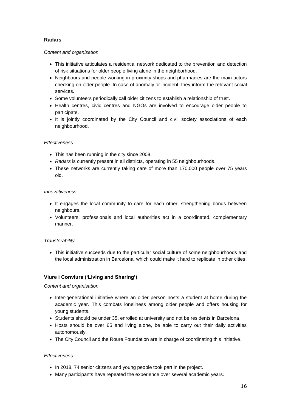#### **Radars**

#### *Content and organisation*

- This initiative articulates a residential network dedicated to the prevention and detection of risk situations for older people living alone in the neighborhood.
- Neighbours and people working in proximity shops and pharmacies are the main actors checking on older people. In case of anomaly or incident, they inform the relevant social services.
- Some volunteers periodically call older citizens to establish a relationship of trust.
- Health centres, civic centres and NGOs are involved to encourage older people to participate.
- It is jointly coordinated by the City Council and civil society associations of each neighbourhood.

#### *Effectiveness*

- This has been running in the city since 2008.
- *Radars* is currently present in all districts, operating in 55 neighbourhoods.
- These networks are currently taking care of more than 170.000 people over 75 years old.

#### *Innovativeness*

- It engages the local community to care for each other, strengthening bonds between neighbours.
- Volunteers, professionals and local authorities act in a coordinated, complementary manner.

#### *Transferability*

• This initiative succeeds due to the particular social culture of some neighbourhoods and the local administration in Barcelona, which could make it hard to replicate in other cities.

#### **Viure i Conviure ('Living and Sharing')**

#### *Content and organisation*

- Inter-generational initiative where an older person hosts a student at home during the academic year. This combats loneliness among older people and offers housing for young students.
- Students should be under 35, enrolled at university and not be residents in Barcelona.
- Hosts should be over 65 and living alone, be able to carry out their daily activities autonomously.
- The City Council and the Roure Foundation are in charge of coordinating this initiative.

#### *Effectiveness*

- In 2018, 74 senior citizens and young people took part in the project.
- Many participants have repeated the experience over several academic years.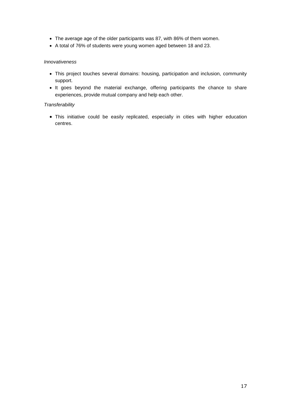- The average age of the older participants was 87, with 86% of them women.
- A total of 76% of students were young women aged between 18 and 23.

#### *Innovativeness*

- This project touches several domains: housing, participation and inclusion, community support.
- It goes beyond the material exchange, offering participants the chance to share experiences, provide mutual company and help each other.

#### *Transferability*

• This initiative could be easily replicated, especially in cities with higher education centres.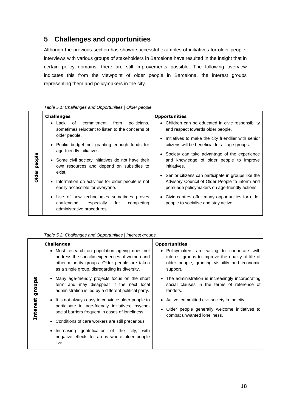# <span id="page-20-0"></span>**5 Challenges and opportunities**

Although the previous section has shown successful examples of initiatives for older people, interviews with various groups of stakeholders in Barcelona have resulted in the insight that in certain policy domains, there are still improvements possible. The following overview indicates this from the viewpoint of older people in Barcelona, the interest groups representing them and policymakers in the city.

|                 | <b>Challenges</b>                                                                                                                                                                                                                                                                                                                                                                                                                                                                                                                                                | <b>Opportunities</b>                                                                                                                                                                                                                                                                                                                                                                                                                                                                                                                                                                   |  |
|-----------------|------------------------------------------------------------------------------------------------------------------------------------------------------------------------------------------------------------------------------------------------------------------------------------------------------------------------------------------------------------------------------------------------------------------------------------------------------------------------------------------------------------------------------------------------------------------|----------------------------------------------------------------------------------------------------------------------------------------------------------------------------------------------------------------------------------------------------------------------------------------------------------------------------------------------------------------------------------------------------------------------------------------------------------------------------------------------------------------------------------------------------------------------------------------|--|
| people<br>Older | commitment<br>politicians,<br>of<br>from<br>Lack<br>$\bullet$<br>sometimes reluctant to listen to the concerns of<br>older people.<br>• Public budget not granting enough funds for<br>age-friendly initiatives.<br>• Some civil society initiatives do not have their<br>own resources and depend on subsidies to<br>exist.<br>Information on activities for older people is not<br>$\bullet$<br>easily accessible for everyone.<br>• Use of new technologies sometimes proves<br>challenging,<br>especially<br>for<br>completing<br>administrative procedures. | • Children can be educated in civic responsibility<br>and respect towards older people.<br>Initiatives to make the city friendlier with senior<br>$\bullet$<br>citizens will be beneficial for all age groups.<br>• Society can take advantage of the experience<br>and knowledge of older people to improve<br>initiatives.<br>• Senior citizens can participate in groups like the<br>Advisory Council of Older People to inform and<br>persuade policymakers on age-friendly actions.<br>• Civic centres offer many opportunities for older<br>people to socialise and stay active. |  |

#### <span id="page-20-1"></span>*Table 5.1: Challenges and Opportunities | Older people*

<span id="page-20-2"></span>*Table 5.2: Challenges and Opportunities | Interest groups*

| Most research on population ageing does not<br>$\bullet$<br>address the specific experiences of women and<br>other minority groups. Older people are taken<br>as a single group, disregarding its diversity.<br>support.<br>• Many age-friendly projects focus on the short<br>n,<br>dno.16<br>term and may disappear if the next local<br>administration is led by a different political party.<br>tenders.<br><b>Interest</b><br>• It is not always easy to convince older people to<br>• Active, committed civil society in the city.<br>participate in age-friendly initiatives; psycho-<br>social barriers frequent in cases of loneliness.<br>combat unwanted loneliness.<br>• Conditions of care workers are still precarious.<br>Increasing gentrification of the city, with<br>$\bullet$<br>negative effects for areas where older people | <b>Challenges</b> | <b>Opportunities</b>                                                                                                                                |
|----------------------------------------------------------------------------------------------------------------------------------------------------------------------------------------------------------------------------------------------------------------------------------------------------------------------------------------------------------------------------------------------------------------------------------------------------------------------------------------------------------------------------------------------------------------------------------------------------------------------------------------------------------------------------------------------------------------------------------------------------------------------------------------------------------------------------------------------------|-------------------|-----------------------------------------------------------------------------------------------------------------------------------------------------|
|                                                                                                                                                                                                                                                                                                                                                                                                                                                                                                                                                                                                                                                                                                                                                                                                                                                    |                   | • Policymakers are willing to cooperate with<br>interest groups to improve the quality of life of<br>older people, granting visibility and economic |
|                                                                                                                                                                                                                                                                                                                                                                                                                                                                                                                                                                                                                                                                                                                                                                                                                                                    |                   | • The administration is increasingly incorporating<br>social clauses in the terms of reference of                                                   |
|                                                                                                                                                                                                                                                                                                                                                                                                                                                                                                                                                                                                                                                                                                                                                                                                                                                    | live.             | Older people generally welcome initiatives to                                                                                                       |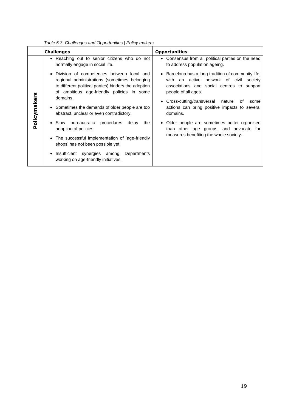|              | <b>Challenges</b>                                                                                                                                                                                                                                                                                             | <b>Opportunities</b>                                                                                                                                                                                                                                                                    |
|--------------|---------------------------------------------------------------------------------------------------------------------------------------------------------------------------------------------------------------------------------------------------------------------------------------------------------------|-----------------------------------------------------------------------------------------------------------------------------------------------------------------------------------------------------------------------------------------------------------------------------------------|
|              | • Reaching out to senior citizens who do not<br>normally engage in social life.                                                                                                                                                                                                                               | • Consensus from all political parties on the need<br>to address population ageing.                                                                                                                                                                                                     |
| Policymakers | • Division of competences between local and<br>regional administrations (sometimes belonging<br>to different political parties) hinders the adoption<br>of ambitious age-friendly policies in some<br>domains.<br>• Sometimes the demands of older people are too<br>abstract, unclear or even contradictory. | • Barcelona has a long tradition of community life,<br>with an active network of civil<br>society<br>associations and social centres to support<br>people of all ages.<br>• Cross-cutting/transversal nature<br>оf<br>some<br>actions can bring positive impacts to several<br>domains. |
|              | bureaucratic procedures<br>$\bullet$ Slow<br>delay<br>the<br>adoption of policies.<br>• The successful implementation of 'age-friendly<br>shops' has not been possible yet.<br>• Insufficient synergies among<br>Departments<br>working on age-friendly initiatives.                                          | • Older people are sometimes better organised<br>than other age groups, and advocate for<br>measures benefiting the whole society.                                                                                                                                                      |

<span id="page-21-0"></span>*Table 5.3: Challenges and Opportunities | Policy makers*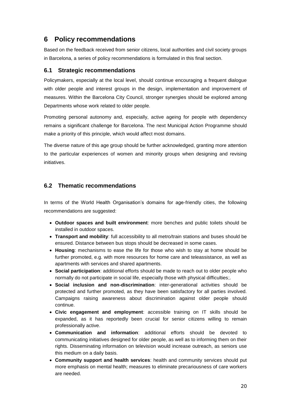# <span id="page-22-0"></span>**6 Policy recommendations**

Based on the feedback received from senior citizens, local authorities and civil society groups in Barcelona, a series of policy recommendations is formulated in this final section.

#### <span id="page-22-1"></span>**6.1 Strategic recommendations**

Policymakers, especially at the local level, should continue encouraging a frequent dialogue with older people and interest groups in the design, implementation and improvement of measures. Within the Barcelona City Council, stronger synergies should be explored among Departments whose work related to older people.

Promoting personal autonomy and, especially, active ageing for people with dependency remains a significant challenge for Barcelona. The next Municipal Action Programme should make a priority of this principle, which would affect most domains.

The diverse nature of this age group should be further acknowledged, granting more attention to the particular experiences of women and minority groups when designing and revising initiatives.

### <span id="page-22-2"></span>**6.2 Thematic recommendations**

In terms of the World Health Organisation's domains for age-friendly cities, the following recommendations are suggested:

- **Outdoor spaces and built environment**: more benches and public toilets should be installed in outdoor spaces.
- **Transport and mobility**: full accessibility to all metro/train stations and buses should be ensured. Distance between bus stops should be decreased in some cases.
- **Housing**: mechanisms to ease the life for those who wish to stay at home should be further promoted, e.g. with more resources for home care and teleassistance, as well as apartments with services and shared apartments.
- **Social participation**: additional efforts should be made to reach out to older people who normally do not participate in social life, especially those with physical difficulties;.
- **Social inclusion and non-discrimination**: inter-generational activities should be protected and further promoted, as they have been satisfactory for all parties involved. Campaigns raising awareness about discrimination against older people should continue.
- **Civic engagement and employment**: accessible training on IT skills should be expanded, as it has reportedly been crucial for senior citizens willing to remain professionally active.
- **Communication and information**: additional efforts should be devoted to communicating initiatives designed for older people, as well as to informing them on their rights. Disseminating information on television would increase outreach, as seniors use this medium on a daily basis.
- **Community support and health services**: health and community services should put more emphasis on mental health; measures to eliminate precariousness of care workers are needed.